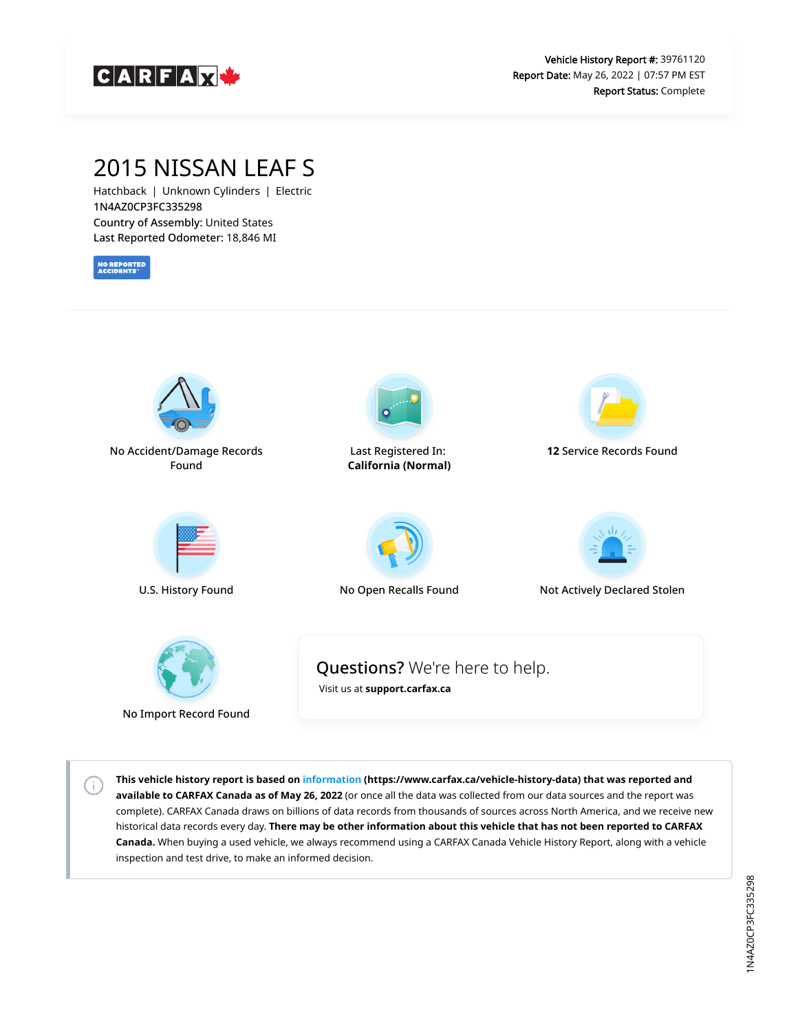

# 2015 NISSAN LEAF S

Hatchback | Unknown Cylinders | Electric 1N4AZ0CP3FC335298 Country of Assembly: United States Last Reported Odometer: 18,846 MI

**NO REPORTED**<br>ACCIDENTS

 $\left( i\right)$ 



**This vehicle history report is based on [information](https://www.carfax.ca/vehicle-history-data) (https://www.carfax.ca/vehicle-history-data) that was reported and available to CARFAX Canada as of May 26, 2022** (or once all the data was collected from our data sources and the report was complete). CARFAX Canada draws on billions of data records from thousands of sources across North America, and we receive new historical data records every day. **There may be other information about this vehicle that has not been reported to CARFAX Canada.** When buying a used vehicle, we always recommend using a CARFAX Canada Vehicle History Report, along with a vehicle inspection and test drive, to make an informed decision.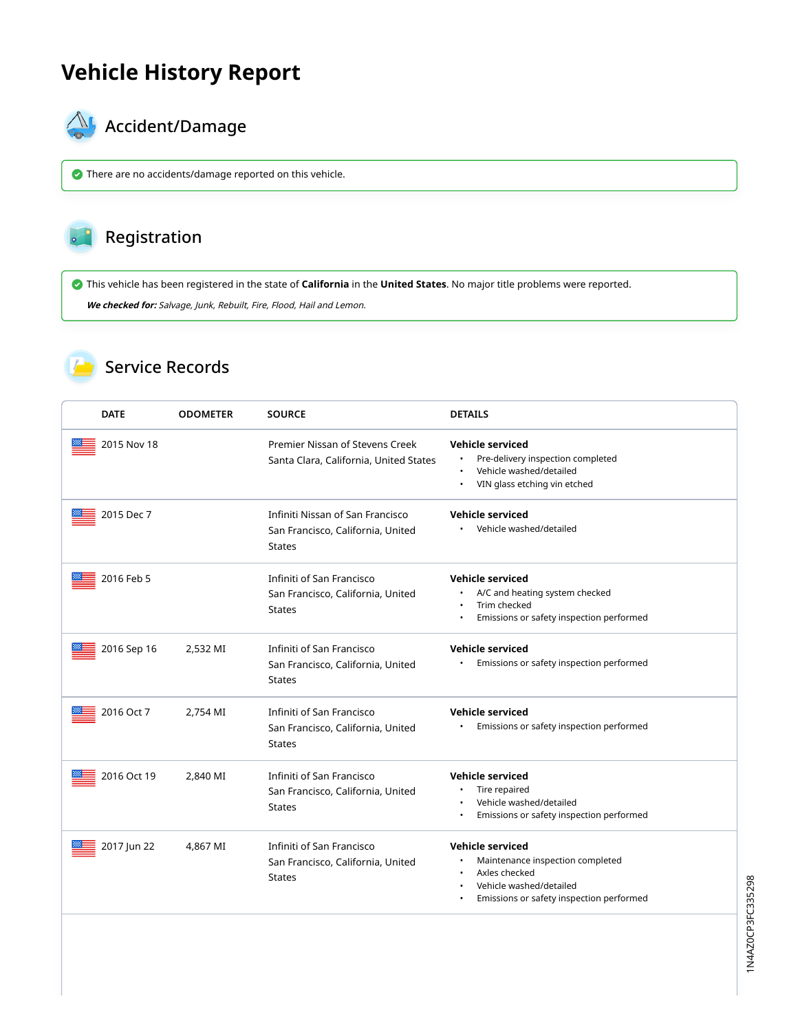# **Vehicle History Report**



# **AL** Accident/Damage

There are no accidents/damage reported on this vehicle.

#### Registration

This vehicle has been registered in the state of **California** in the **United States**. No major title problems were reported.

**We checked for:** Salvage, Junk, Rebuilt, Fire, Flood, Hail and Lemon.

### Service Records

| <b>DATE</b> | <b>ODOMETER</b> | <b>SOURCE</b>                                                                          | <b>DETAILS</b>                                                                                                                                      |
|-------------|-----------------|----------------------------------------------------------------------------------------|-----------------------------------------------------------------------------------------------------------------------------------------------------|
| 2015 Nov 18 |                 | Premier Nissan of Stevens Creek<br>Santa Clara, California, United States              | <b>Vehicle serviced</b><br>Pre-delivery inspection completed<br>$\bullet$<br>Vehicle washed/detailed<br>$\bullet$<br>VIN glass etching vin etched   |
| 2015 Dec 7  |                 | Infiniti Nissan of San Francisco<br>San Francisco, California, United<br><b>States</b> | <b>Vehicle serviced</b><br>• Vehicle washed/detailed                                                                                                |
| 2016 Feb 5  |                 | Infiniti of San Francisco<br>San Francisco, California, United<br><b>States</b>        | <b>Vehicle serviced</b><br>A/C and heating system checked<br>Trim checked<br>$\bullet$<br>Emissions or safety inspection performed                  |
| 2016 Sep 16 | 2,532 MI        | Infiniti of San Francisco<br>San Francisco, California, United<br><b>States</b>        | <b>Vehicle serviced</b><br>Emissions or safety inspection performed                                                                                 |
| 2016 Oct 7  | 2,754 MI        | Infiniti of San Francisco<br>San Francisco, California, United<br><b>States</b>        | <b>Vehicle serviced</b><br>Emissions or safety inspection performed                                                                                 |
| 2016 Oct 19 | 2,840 MI        | Infiniti of San Francisco<br>San Francisco, California, United<br><b>States</b>        | <b>Vehicle serviced</b><br>Tire repaired<br>Vehicle washed/detailed<br>Emissions or safety inspection performed                                     |
| 2017 Jun 22 | 4,867 MI        | Infiniti of San Francisco<br>San Francisco, California, United<br>States               | <b>Vehicle serviced</b><br>Maintenance inspection completed<br>Axles checked<br>Vehicle washed/detailed<br>Emissions or safety inspection performed |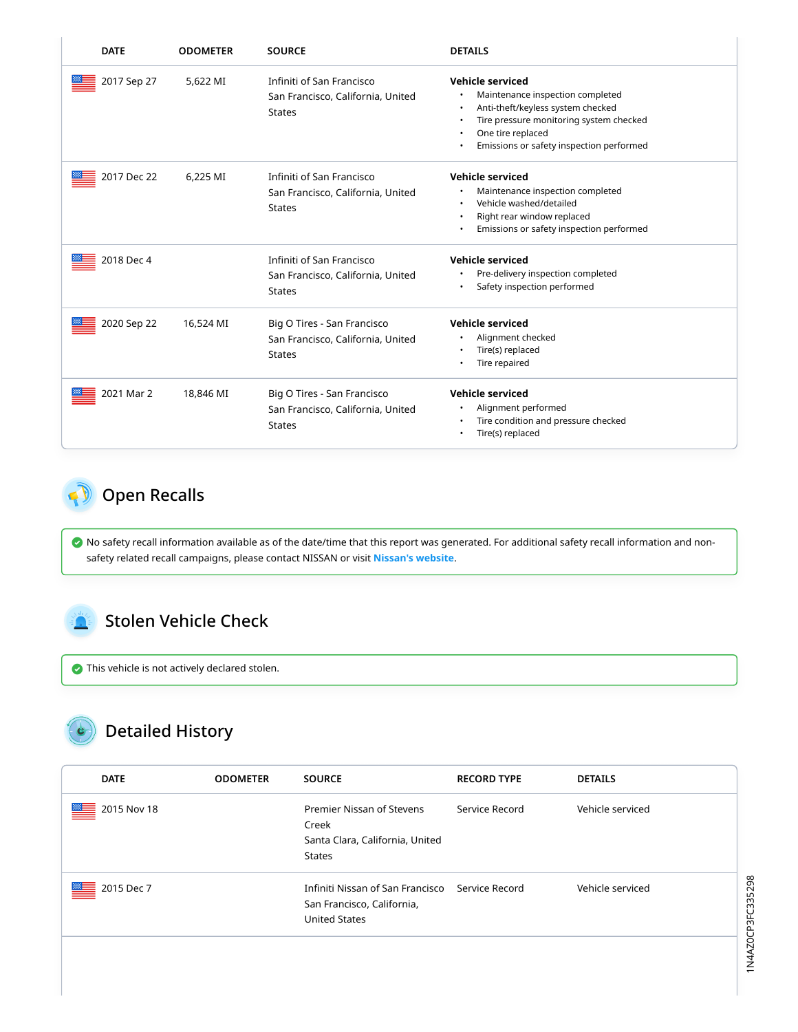| <b>DATE</b> | <b>ODOMETER</b> | <b>SOURCE</b>                                                                     | <b>DETAILS</b>                                                                                                                                                                                                                                           |
|-------------|-----------------|-----------------------------------------------------------------------------------|----------------------------------------------------------------------------------------------------------------------------------------------------------------------------------------------------------------------------------------------------------|
| 2017 Sep 27 | 5,622 MI        | Infiniti of San Francisco<br>San Francisco, California, United<br><b>States</b>   | <b>Vehicle serviced</b><br>Maintenance inspection completed<br>$\bullet$<br>Anti-theft/keyless system checked<br>$\bullet$<br>Tire pressure monitoring system checked<br>$\bullet$<br>One tire replaced<br>Emissions or safety inspection performed<br>٠ |
| 2017 Dec 22 | 6.225 MI        | Infiniti of San Francisco<br>San Francisco, California, United<br><b>States</b>   | <b>Vehicle serviced</b><br>Maintenance inspection completed<br>٠<br>Vehicle washed/detailed<br>$\bullet$<br>Right rear window replaced<br>$\bullet$<br>Emissions or safety inspection performed<br>$\bullet$                                             |
| 2018 Dec 4  |                 | Infiniti of San Francisco<br>San Francisco, California, United<br><b>States</b>   | <b>Vehicle serviced</b><br>Pre-delivery inspection completed<br>٠<br>Safety inspection performed<br>٠                                                                                                                                                    |
| 2020 Sep 22 | 16,524 MI       | Big O Tires - San Francisco<br>San Francisco, California, United<br><b>States</b> | Vehicle serviced<br>Alignment checked<br>٠<br>Tire(s) replaced<br>$\bullet$<br>Tire repaired<br>٠                                                                                                                                                        |
| 2021 Mar 2  | 18,846 MI       | Big O Tires - San Francisco<br>San Francisco, California, United<br><b>States</b> | <b>Vehicle serviced</b><br>Alignment performed<br>٠<br>Tire condition and pressure checked<br>$\bullet$<br>Tire(s) replaced<br>٠                                                                                                                         |

# <span id="page-2-1"></span>Open Recalls

 No safety recall information available as of the date/time that this report was generated. For additional safety recall information and nonsafety related recall campaigns, please contact NISSAN or visit **[Nissan's website](https://nna.secure.force.com/support/ContactUsNissan?recallLookup)**.

### <span id="page-2-2"></span>Stolen Vehicle Check

This vehicle is not actively declared stolen.

# <span id="page-2-0"></span>Detailed History

| <b>DATE</b>      | <b>ODOMETER</b> | <b>SOURCE</b>                                                                                         | <b>RECORD TYPE</b> | <b>DETAILS</b>   |
|------------------|-----------------|-------------------------------------------------------------------------------------------------------|--------------------|------------------|
| 2015 Nov 18<br>≝ |                 | Premier Nissan of Stevens<br>Creek<br>Santa Clara, California, United<br>States                       | Service Record     | Vehicle serviced |
| ≝<br>2015 Dec 7  |                 | Infiniti Nissan of San Francisco Service Record<br>San Francisco, California,<br><b>United States</b> |                    | Vehicle serviced |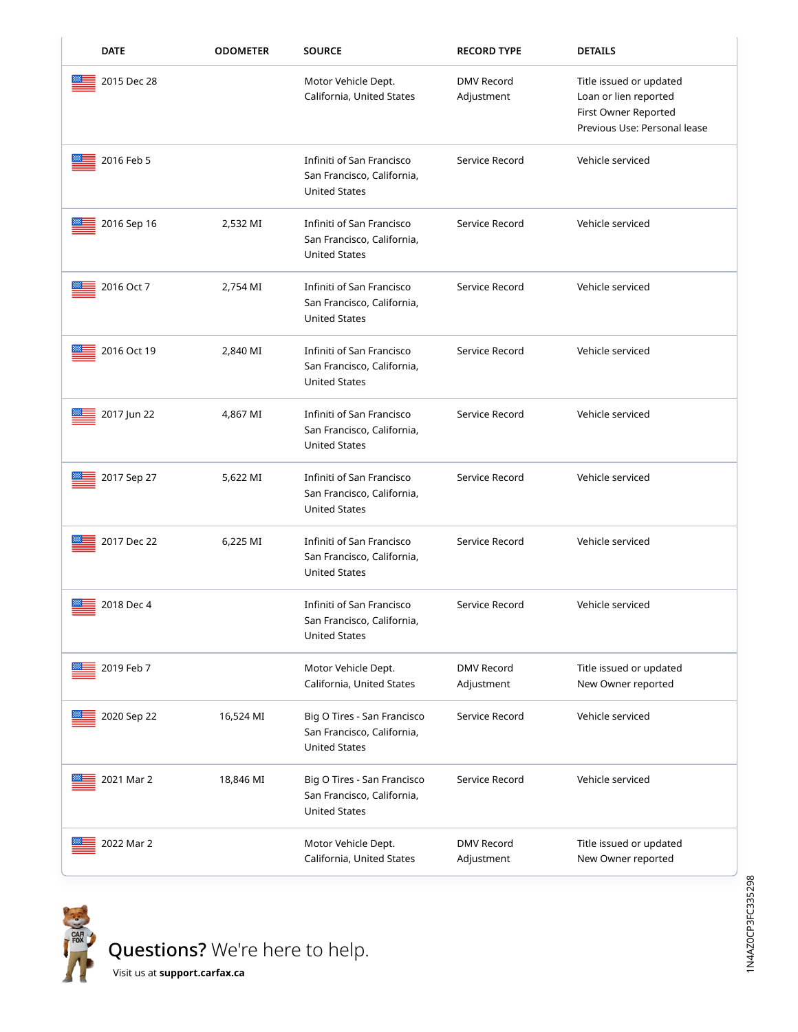| <b>DATE</b> | <b>ODOMETER</b> | <b>SOURCE</b>                                                                     | <b>RECORD TYPE</b>              | <b>DETAILS</b>                                                                                           |
|-------------|-----------------|-----------------------------------------------------------------------------------|---------------------------------|----------------------------------------------------------------------------------------------------------|
| 2015 Dec 28 |                 | Motor Vehicle Dept.<br>California, United States                                  | <b>DMV Record</b><br>Adjustment | Title issued or updated<br>Loan or lien reported<br>First Owner Reported<br>Previous Use: Personal lease |
| 2016 Feb 5  |                 | Infiniti of San Francisco<br>San Francisco, California,<br><b>United States</b>   | Service Record                  | Vehicle serviced                                                                                         |
| 2016 Sep 16 | 2,532 MI        | Infiniti of San Francisco<br>San Francisco, California,<br><b>United States</b>   | Service Record                  | Vehicle serviced                                                                                         |
| 2016 Oct 7  | 2,754 MI        | Infiniti of San Francisco<br>San Francisco, California,<br><b>United States</b>   | Service Record                  | Vehicle serviced                                                                                         |
| 2016 Oct 19 | 2,840 MI        | Infiniti of San Francisco<br>San Francisco, California,<br><b>United States</b>   | Service Record                  | Vehicle serviced                                                                                         |
| 2017 Jun 22 | 4,867 MI        | Infiniti of San Francisco<br>San Francisco, California,<br><b>United States</b>   | Service Record                  | Vehicle serviced                                                                                         |
| 2017 Sep 27 | 5,622 MI        | Infiniti of San Francisco<br>San Francisco, California,<br><b>United States</b>   | Service Record                  | Vehicle serviced                                                                                         |
| 2017 Dec 22 | 6,225 MI        | Infiniti of San Francisco<br>San Francisco, California,<br><b>United States</b>   | Service Record                  | Vehicle serviced                                                                                         |
| 2018 Dec 4  |                 | Infiniti of San Francisco<br>San Francisco, California,<br>United States          | Service Record                  | Vehicle serviced                                                                                         |
| 2019 Feb 7  |                 | Motor Vehicle Dept.<br>California, United States                                  | <b>DMV Record</b><br>Adjustment | Title issued or updated<br>New Owner reported                                                            |
| 2020 Sep 22 | 16,524 MI       | Big O Tires - San Francisco<br>San Francisco, California,<br><b>United States</b> | Service Record                  | Vehicle serviced                                                                                         |
| 2021 Mar 2  | 18,846 MI       | Big O Tires - San Francisco<br>San Francisco, California,<br><b>United States</b> | Service Record                  | Vehicle serviced                                                                                         |
| 2022 Mar 2  |                 | Motor Vehicle Dept.<br>California, United States                                  | <b>DMV Record</b><br>Adjustment | Title issued or updated<br>New Owner reported                                                            |



Questions? We're here to help.

Visit us at **[support.carfax.ca](https://support.carfax.ca/en/support/home)**